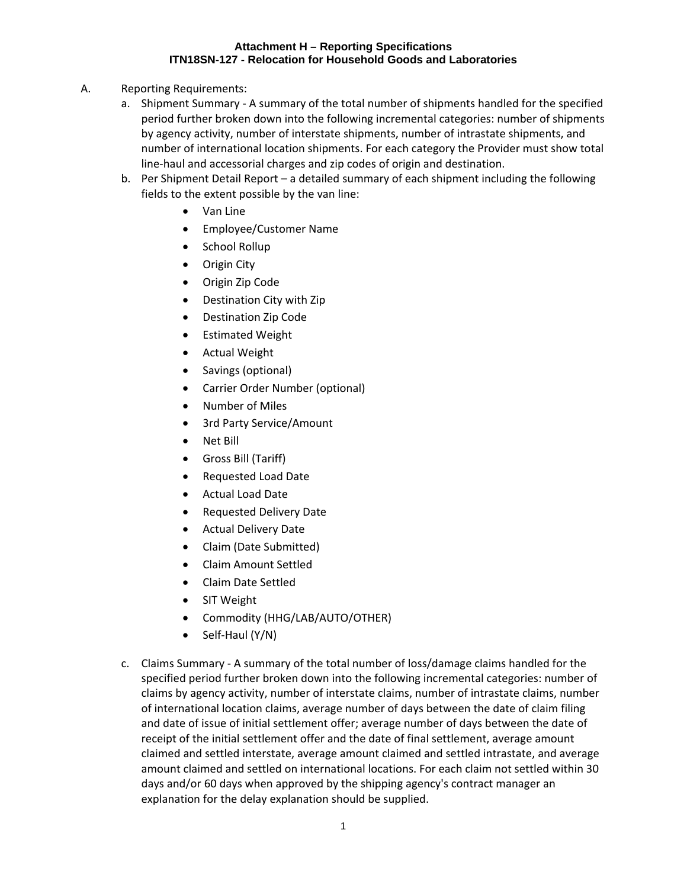## **Attachment H – Reporting Specifications ITN18SN-127 - Relocation for Household Goods and Laboratories**

- A. Reporting Requirements:
	- a. Shipment Summary ‐ A summary of the total number of shipments handled for the specified period further broken down into the following incremental categories: number of shipments by agency activity, number of interstate shipments, number of intrastate shipments, and number of international location shipments. For each category the Provider must show total line‐haul and accessorial charges and zip codes of origin and destination.
	- b. Per Shipment Detail Report a detailed summary of each shipment including the following fields to the extent possible by the van line:
		- Van Line
		- Employee/Customer Name
		- School Rollup
		- Origin City
		- Origin Zip Code
		- Destination City with Zip
		- Destination Zip Code
		- Estimated Weight
		- Actual Weight
		- Savings (optional)
		- Carrier Order Number (optional)
		- Number of Miles
		- 3rd Party Service/Amount
		- Net Bill
		- Gross Bill (Tariff)
		- Requested Load Date
		- Actual Load Date
		- Requested Delivery Date
		- Actual Delivery Date
		- Claim (Date Submitted)
		- Claim Amount Settled
		- Claim Date Settled
		- SIT Weight
		- Commodity (HHG/LAB/AUTO/OTHER)
		- $\bullet$  Self-Haul (Y/N)
	- c. Claims Summary ‐ A summary of the total number of loss/damage claims handled for the specified period further broken down into the following incremental categories: number of claims by agency activity, number of interstate claims, number of intrastate claims, number of international location claims, average number of days between the date of claim filing and date of issue of initial settlement offer; average number of days between the date of receipt of the initial settlement offer and the date of final settlement, average amount claimed and settled interstate, average amount claimed and settled intrastate, and average amount claimed and settled on international locations. For each claim not settled within 30 days and/or 60 days when approved by the shipping agency's contract manager an explanation for the delay explanation should be supplied.